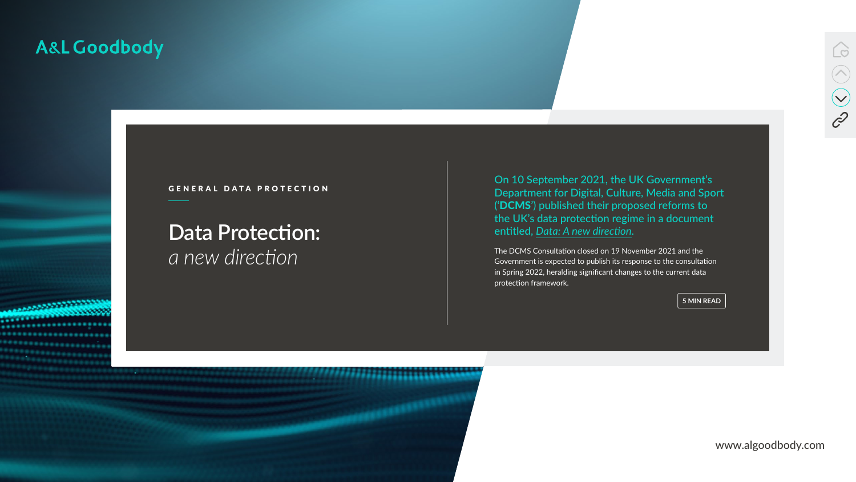www.algoodbody.com



# **Data Protection:**  *a new direction*

# A&L Goodbody



# GENERAL DATA PROTECTION

On 10 September 2021, the UK Government's Department for Digital, Culture, Media and Sport ('DCMS') published their proposed reforms to the UK's data protection regime in a document entitled, *[Data: A new direction](https://www.gov.uk/government/consultations/data-a-new-direction)* .

The DCMS Consultation closed on 19 November 2021 and the Government is expected to publish its response to the consultation in Spring 2022, heralding significant changes to the current data protection framework.

**5 MIN READ**

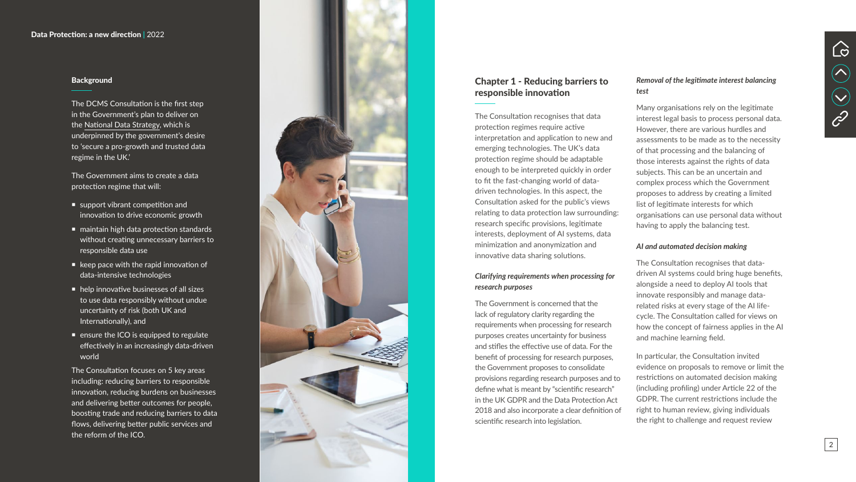# Chapter 1 - Reducing barriers to responsible innovation

The Consultation recognises that data protection regimes require active interpretation and application to new and emerging technologies. The UK's data protection regime should be adaptable enough to be interpreted quickly in order to fit the fast-changing world of datadriven technologies. In this aspect, the Consultation asked for the public's views relating to data protection law surrounding: research specific provisions, legitimate interests, deployment of AI systems, data minimization and anonymization and innovative data sharing solutions.

### *Clarifying requirements when processing for research purposes*

The Government is concerned that the lack of regulatory clarity regarding the requirements when processing for research purposes creates uncertainty for business and stifles the effective use of data. For the benefit of processing for research purposes, the Government proposes to consolidate provisions regarding research purposes and to define what is meant by "scientific research" in the UK GDPR and the Data Protection Act 2018 and also incorporate a clear definition of scientific research into legislation.

### *Removal of the legitimate interest balancing test*

Many organisations rely on the legitimate interest legal basis to process personal data. However, there are various hurdles and assessments to be made as to the necessity of that processing and the balancing of those interests against the rights of data subjects. This can be an uncertain and complex process which the Government proposes to address by creating a limited list of legitimate interests for which organisations can use personal data without having to apply the balancing test.

- support vibrant competition and innovation to drive economic growth
- maintain high data protection standards without creating unnecessary barriers to responsible data use
- $\blacksquare$  keep pace with the rapid innovation of data-intensive technologies
- help innovative businesses of all sizes to use data responsibly without undue uncertainty of risk (both UK and Internationally), and
- **E** ensure the ICO is equipped to regulate effectively in an increasingly data-driven world

#### *AI and automated decision making*

The Consultation recognises that datadriven AI systems could bring huge benefits, alongside a need to deploy AI tools that innovate responsibly and manage datarelated risks at every stage of the AI lifecycle. The Consultation called for views on how the concept of fairness applies in the AI and machine learning field.

In particular, the Consultation invited evidence on proposals to remove or limit the restrictions on automated decision making (including profiling) under Article 22 of the GDPR. The current restrictions include the right to human review, giving individuals the right to challenge and request review



#### Data Protection: a new direction **|** 2022

#### **Background**



The DCMS Consultation is the first step in the Government's plan to deliver on the [National Data Strategy](https://www.gov.uk/government/publications/uk-national-data-strategy/national-data-strategy), which is underpinned by the government's desire to 'secure a pro-growth and trusted data regime in the UK.'

The Government aims to create a data protection regime that will:

The Consultation focuses on 5 key areas including: reducing barriers to responsible innovation, reducing burdens on businesses and delivering better outcomes for people, boosting trade and reducing barriers to data flows, delivering better public services and the reform of the ICO.

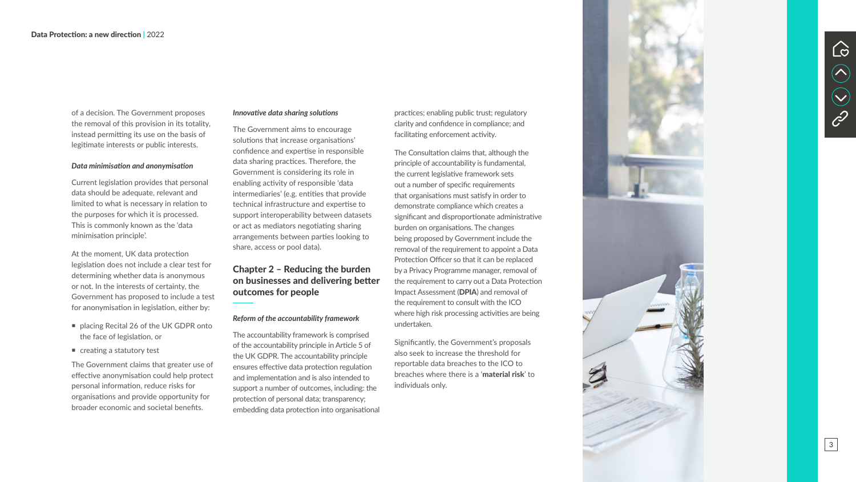of a decision. The Government proposes the removal of this provision in its totality, instead permitting its use on the basis of legitimate interests or public interests.

#### *Data minimisation and anonymisation*

Current legislation provides that personal data should be adequate, relevant and limited to what is necessary in relation to the purposes for which it is processed. This is commonly known as the 'data minimisation principle'.

At the moment, UK data protection legislation does not include a clear test for determining whether data is anonymous or not. In the interests of certainty, the Government has proposed to include a test for anonymisation in legislation, either by:

- placing Recital 26 of the UK GDPR onto the face of legislation, or
- creating a statutory test

The Government claims that greater use of effective anonymisation could help protect personal information, reduce risks for organisations and provide opportunity for broader economic and societal benefits.

#### *Innovative data sharing solutions*

The Government aims to encourage solutions that increase organisations' confidence and expertise in responsible data sharing practices. Therefore, the Government is considering its role in enabling activity of responsible 'data intermediaries' (e.g. entities that provide technical infrastructure and expertise to support interoperability between datasets or act as mediators negotiating sharing arrangements between parties looking to share, access or pool data).

# Chapter 2 – Reducing the burden on businesses and delivering better outcomes for people

#### *Reform of the accountability framework*

The accountability framework is comprised of the accountability principle in Article 5 of the UK GDPR. The accountability principle ensures effective data protection regulation and implementation and is also intended to support a number of outcomes, including: the protection of personal data; transparency; embedding data protection into organisational

practices; enabling public trust; regulatory clarity and confidence in compliance; and facilitating enforcement activity.

The Consultation claims that, although the principle of accountability is fundamental, the current legislative framework sets out a number of specific requirements that organisations must satisfy in order to demonstrate compliance which creates a significant and disproportionate administrative burden on organisations. The changes being proposed by Government include the removal of the requirement to appoint a Data Protection Officer so that it can be replaced by a Privacy Programme manager, removal of the requirement to carry out a Data Protection Impact Assessment (DPIA) and removal of the requirement to consult with the ICO where high risk processing activities are being undertaken.

Significantly, the Government's proposals also seek to increase the threshold for reportable data breaches to the ICO to breaches where there is a 'material risk' to individuals only.





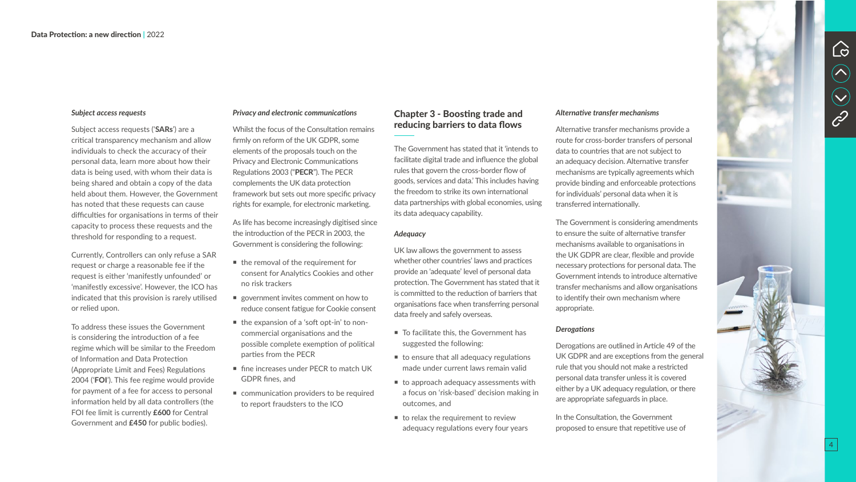#### *Privacy and electronic communications*

Whilst the focus of the Consultation remains firmly on reform of the UK GDPR, some elements of the proposals touch on the Privacy and Electronic Communications Regulations 2003 ("PECR"). The PECR complements the UK data protection framework but sets out more specific privacy rights for example, for electronic marketing.

As life has become increasingly digitised since the introduction of the PECR in 2003, the Government is considering the following:

- $\blacksquare$  the removal of the requirement for consent for Analytics Cookies and other no risk trackers
- government invites comment on how to reduce consent fatigue for Cookie consent
- the expansion of a 'soft opt-in' to noncommercial organisations and the possible complete exemption of political parties from the PECR
- **fine increases under PECR to match UK** GDPR fines, and
- **E** communication providers to be required to report fraudsters to the ICO

# Chapter 3 - Boosting trade and reducing barriers to data flows

- To facilitate this, the Government has suggested the following:
- $\blacksquare$  to ensure that all adequacy regulations made under current laws remain valid
- $\blacksquare$  to approach adequacy assessments with a focus on 'risk-based' decision making in outcomes, and
- $\blacksquare$  to relax the requirement to review adequacy regulations every four years

The Government has stated that it 'intends to facilitate digital trade and influence the global rules that govern the cross-border flow of goods, services and data.' This includes having the freedom to strike its own international data partnerships with global economies, using its data adequacy capability.

### *Adequacy*

UK law allows the government to assess whether other countries' laws and practices provide an 'adequate' level of personal data protection. The Government has stated that it is committed to the reduction of barriers that organisations face when transferring personal data freely and safely overseas.

Subject access requests ('SARs') are a critical transparency mechanism and allow individuals to check the accuracy of their personal data, learn more about how their data is being used, with whom their data is being shared and obtain a copy of the data held about them. However, the Government has noted that these requests can cause difficulties for organisations in terms of their capacity to process these requests and the threshold for responding to a request.

#### *Alternative transfer mechanisms*

Alternative transfer mechanisms provide a route for cross-border transfers of personal data to countries that are not subject to an adequacy decision. Alternative transfer mechanisms are typically agreements which provide binding and enforceable protections for individuals' personal data when it is transferred internationally.

The Government is considering amendments to ensure the suite of alternative transfer mechanisms available to organisations in the UK GDPR are clear, flexible and provide necessary protections for personal data. The Government intends to introduce alternative transfer mechanisms and allow organisations to identify their own mechanism where appropriate.

#### *Derogations*

Derogations are outlined in Article 49 of the UK GDPR and are exceptions from the general rule that you should not make a restricted personal data transfer unless it is covered either by a UK adequacy regulation, or there are appropriate safeguards in place.

In the Consultation, the Government proposed to ensure that repetitive use of

#### *Subject access requests*

Currently, Controllers can only refuse a SAR request or charge a reasonable fee if the request is either 'manifestly unfounded' or 'manifestly excessive'. However, the ICO has indicated that this provision is rarely utilised or relied upon.

To address these issues the Government is considering the introduction of a fee regime which will be similar to the Freedom of Information and Data Protection (Appropriate Limit and Fees) Regulations 2004 ('FOI'). This fee regime would provide for payment of a fee for access to personal information held by all data controllers (the FOI fee limit is currently £600 for Central Government and £450 for public bodies).

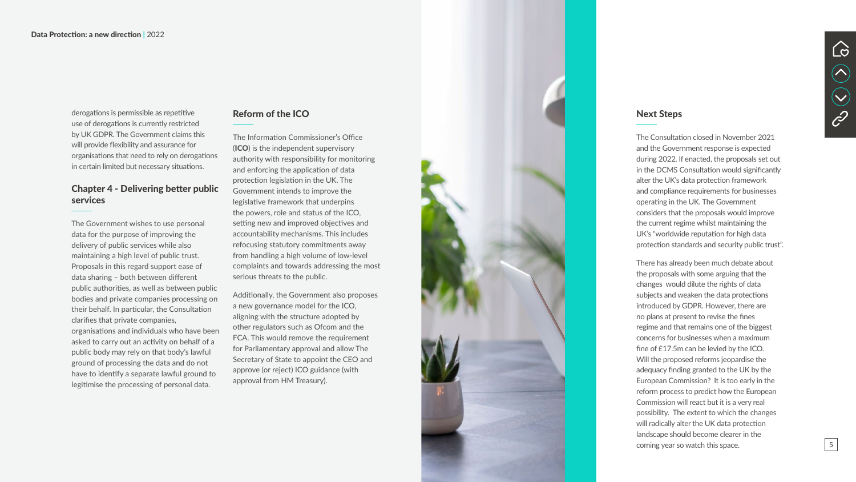# Reform of the ICO

The Information Commissioner's Office (ICO) is the independent supervisory authority with responsibility for monitoring and enforcing the application of data protection legislation in the UK. The Government intends to improve the legislative framework that underpins the powers, role and status of the ICO, setting new and improved objectives and accountability mechanisms. This includes refocusing statutory commitments away from handling a high volume of low-level complaints and towards addressing the most serious threats to the public.

Additionally, the Government also proposes a new governance model for the ICO, aligning with the structure adopted by other regulators such as Ofcom and the FCA. This would remove the requirement for Parliamentary approval and allow The Secretary of State to appoint the CEO and approve (or reject) ICO guidance (with approval from HM Treasury).



derogations is permissible as repetitive use of derogations is currently restricted by UK GDPR. The Government claims this will provide flexibility and assurance for organisations that need to rely on derogations in certain limited but necessary situations.

# Chapter 4 - Delivering better public services

The Government wishes to use personal data for the purpose of improving the delivery of public services while also maintaining a high level of public trust. Proposals in this regard support ease of data sharing – both between different public authorities, as well as between public bodies and private companies processing on their behalf. In particular, the Consultation clarifies that private companies, organisations and individuals who have been asked to carry out an activity on behalf of a public body may rely on that body's lawful ground of processing the data and do not have to identify a separate lawful ground to legitimise the processing of personal data.

### Next Steps

The Consultation closed in November 2021 and the Government response is expected during 2022. If enacted, the proposals set out in the DCMS Consultation would significantly alter the UK's data protection framework and compliance requirements for businesses operating in the UK. The Government considers that the proposals would improve the current regime whilst maintaining the UK's "worldwide reputation for high data protection standards and security public trust".

There has already been much debate about the proposals with some arguing that the changes would dilute the rights of data subjects and weaken the data protections introduced by GDPR. However, there are no plans at present to revise the fines regime and that remains one of the biggest concerns for businesses when a maximum fine of £17.5m can be levied by the ICO. Will the proposed reforms jeopardise the adequacy finding granted to the UK by the European Commission? It is too early in the reform process to predict how the European Commission will react but it is a very real possibility. The extent to which the changes will radically alter the UK data protection landscape should become clearer in the coming year so watch this space.